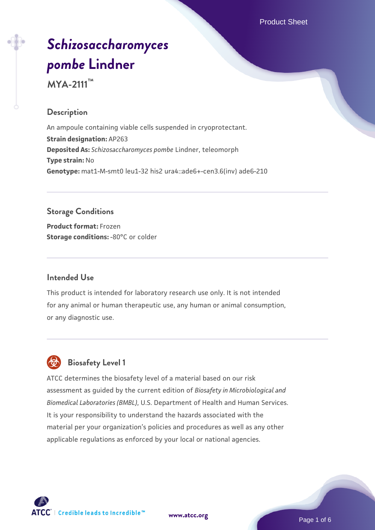Product Sheet

# *[Schizosaccharomyces](https://www.atcc.org/products/mya-2111) [pombe](https://www.atcc.org/products/mya-2111)* **[Lindner](https://www.atcc.org/products/mya-2111)**

**MYA-2111™**

# **Description**

An ampoule containing viable cells suspended in cryoprotectant. **Strain designation:** AP263 **Deposited As:** *Schizosaccharomyces pombe* Lindner, teleomorph **Type strain:** No **Genotype:** mat1-M-smt0 leu1-32 his2 ura4::ade6+-cen3.6(inv) ade6-210

## **Storage Conditions**

**Product format:** Frozen **Storage conditions: -80°C or colder** 

## **Intended Use**

This product is intended for laboratory research use only. It is not intended for any animal or human therapeutic use, any human or animal consumption, or any diagnostic use.

# **Biosafety Level 1**

ATCC determines the biosafety level of a material based on our risk assessment as guided by the current edition of *Biosafety in Microbiological and Biomedical Laboratories (BMBL)*, U.S. Department of Health and Human Services. It is your responsibility to understand the hazards associated with the material per your organization's policies and procedures as well as any other applicable regulations as enforced by your local or national agencies.

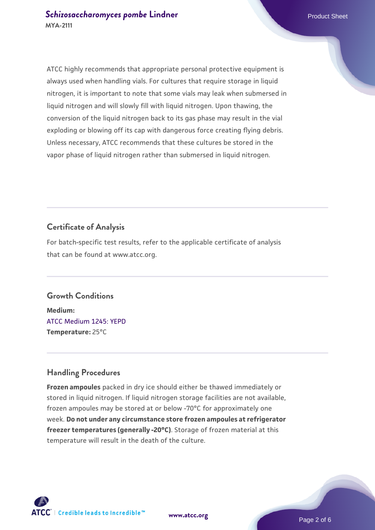ATCC highly recommends that appropriate personal protective equipment is always used when handling vials. For cultures that require storage in liquid nitrogen, it is important to note that some vials may leak when submersed in liquid nitrogen and will slowly fill with liquid nitrogen. Upon thawing, the conversion of the liquid nitrogen back to its gas phase may result in the vial exploding or blowing off its cap with dangerous force creating flying debris. Unless necessary, ATCC recommends that these cultures be stored in the vapor phase of liquid nitrogen rather than submersed in liquid nitrogen.

# **Certificate of Analysis**

For batch-specific test results, refer to the applicable certificate of analysis that can be found at www.atcc.org.

#### **Growth Conditions**

**Medium:**  [ATCC Medium 1245: YEPD](https://www.atcc.org/-/media/product-assets/documents/microbial-media-formulations/1/2/4/5/atcc-medium-1245.pdf?rev=705ca55d1b6f490a808a965d5c072196) **Temperature:** 25°C

## **Handling Procedures**

**Frozen ampoules** packed in dry ice should either be thawed immediately or stored in liquid nitrogen. If liquid nitrogen storage facilities are not available, frozen ampoules may be stored at or below -70°C for approximately one week. **Do not under any circumstance store frozen ampoules at refrigerator freezer temperatures (generally -20°C)**. Storage of frozen material at this temperature will result in the death of the culture.



**[www.atcc.org](http://www.atcc.org)**

Page 2 of 6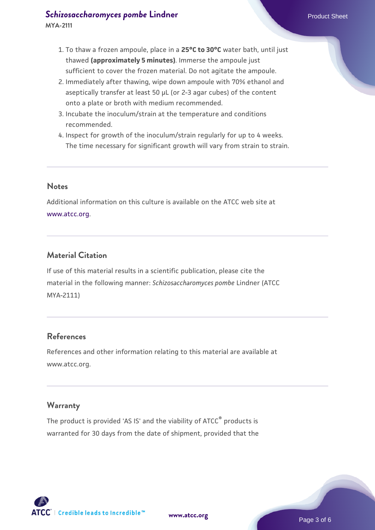# **[Schizosaccharomyces pombe](https://www.atcc.org/products/mya-2111)** [Lindner](https://www.atcc.org/products/mya-2111) **Product Sheet** Product Sheet

- 1. To thaw a frozen ampoule, place in a **25°C to 30°C** water bath, until just thawed **(approximately 5 minutes)**. Immerse the ampoule just sufficient to cover the frozen material. Do not agitate the ampoule.
- 2. Immediately after thawing, wipe down ampoule with 70% ethanol and aseptically transfer at least 50 µL (or 2-3 agar cubes) of the content onto a plate or broth with medium recommended.
- 3. Incubate the inoculum/strain at the temperature and conditions recommended.
- 4. Inspect for growth of the inoculum/strain regularly for up to 4 weeks. The time necessary for significant growth will vary from strain to strain.

## **Notes**

Additional information on this culture is available on the ATCC web site at [www.atcc.org.](http://www.atcc.org/)

# **Material Citation**

If use of this material results in a scientific publication, please cite the material in the following manner: *Schizosaccharomyces pombe* Lindner (ATCC MYA-2111)

## **References**

References and other information relating to this material are available at www.atcc.org.

## **Warranty**

The product is provided 'AS IS' and the viability of ATCC<sup>®</sup> products is warranted for 30 days from the date of shipment, provided that the

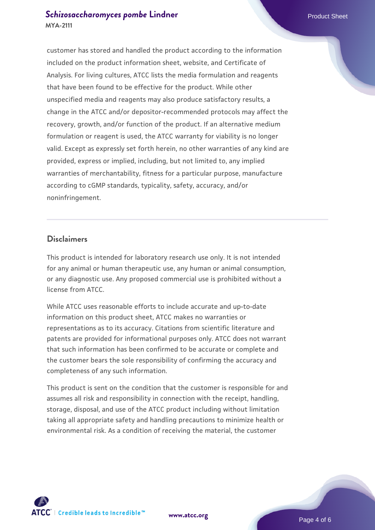# **[Schizosaccharomyces pombe](https://www.atcc.org/products/mya-2111)** [Lindner](https://www.atcc.org/products/mya-2111) **Product Sheet** Product Sheet **MYA-2111**

customer has stored and handled the product according to the information included on the product information sheet, website, and Certificate of Analysis. For living cultures, ATCC lists the media formulation and reagents that have been found to be effective for the product. While other unspecified media and reagents may also produce satisfactory results, a change in the ATCC and/or depositor-recommended protocols may affect the recovery, growth, and/or function of the product. If an alternative medium formulation or reagent is used, the ATCC warranty for viability is no longer valid. Except as expressly set forth herein, no other warranties of any kind are provided, express or implied, including, but not limited to, any implied warranties of merchantability, fitness for a particular purpose, manufacture according to cGMP standards, typicality, safety, accuracy, and/or noninfringement.

#### **Disclaimers**

This product is intended for laboratory research use only. It is not intended for any animal or human therapeutic use, any human or animal consumption, or any diagnostic use. Any proposed commercial use is prohibited without a license from ATCC.

While ATCC uses reasonable efforts to include accurate and up-to-date information on this product sheet, ATCC makes no warranties or representations as to its accuracy. Citations from scientific literature and patents are provided for informational purposes only. ATCC does not warrant that such information has been confirmed to be accurate or complete and the customer bears the sole responsibility of confirming the accuracy and completeness of any such information.

This product is sent on the condition that the customer is responsible for and assumes all risk and responsibility in connection with the receipt, handling, storage, disposal, and use of the ATCC product including without limitation taking all appropriate safety and handling precautions to minimize health or environmental risk. As a condition of receiving the material, the customer



**[www.atcc.org](http://www.atcc.org)**

Page 4 of 6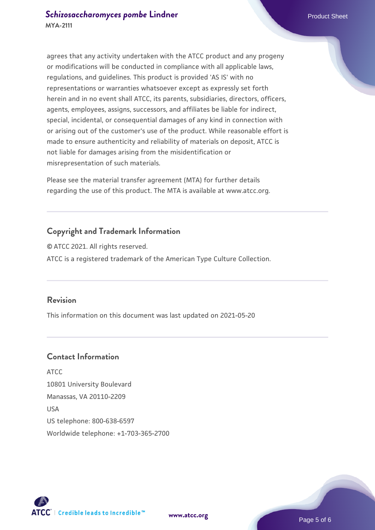agrees that any activity undertaken with the ATCC product and any progeny or modifications will be conducted in compliance with all applicable laws, regulations, and guidelines. This product is provided 'AS IS' with no representations or warranties whatsoever except as expressly set forth herein and in no event shall ATCC, its parents, subsidiaries, directors, officers, agents, employees, assigns, successors, and affiliates be liable for indirect, special, incidental, or consequential damages of any kind in connection with or arising out of the customer's use of the product. While reasonable effort is made to ensure authenticity and reliability of materials on deposit, ATCC is not liable for damages arising from the misidentification or misrepresentation of such materials.

Please see the material transfer agreement (MTA) for further details regarding the use of this product. The MTA is available at www.atcc.org.

# **Copyright and Trademark Information**

© ATCC 2021. All rights reserved. ATCC is a registered trademark of the American Type Culture Collection.

## **Revision**

This information on this document was last updated on 2021-05-20

# **Contact Information**

ATCC 10801 University Boulevard Manassas, VA 20110-2209 USA US telephone: 800-638-6597 Worldwide telephone: +1-703-365-2700